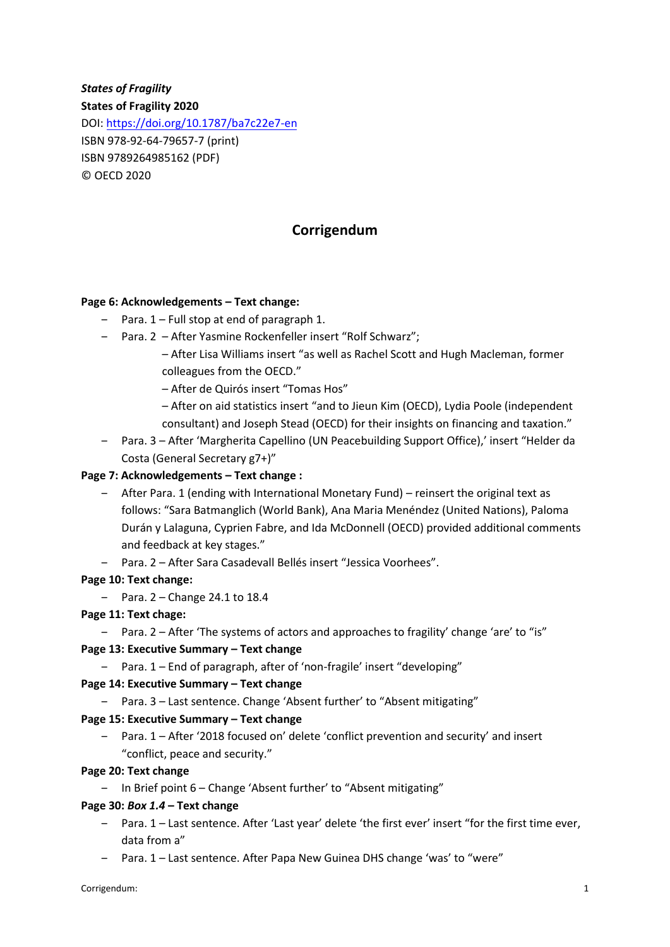# *States of Fragility*

**States of Fragility 2020** 

DOI[: https://doi.org/10.1787/](https://doi.org/10.1787/xxxxxxxxxxxx)ba7c22e7-en ISBN 978-92-64-79657-7 (print) ISBN 9789264985162 (PDF) © OECD 2020

## **Corrigendum**

### **Page 6: Acknowledgements – Text change:**

- $-$  Para.  $1 -$  Full stop at end of paragraph 1.
- ‒ Para. 2 After Yasmine Rockenfeller insert "Rolf Schwarz";
	- After Lisa Williams insert "as well as Rachel Scott and Hugh Macleman, former colleagues from the OECD."
	- After de Quirós insert "Tomas Hos"
	- After on aid statistics insert "and to Jieun Kim (OECD), Lydia Poole (independent consultant) and Joseph Stead (OECD) for their insights on financing and taxation."
- ‒ Para. 3 After 'Margherita Capellino (UN Peacebuilding Support Office),' insert "Helder da Costa (General Secretary g7+)"

### **Page 7: Acknowledgements – Text change :**

- ‒ After Para. 1 (ending with International Monetary Fund) reinsert the original text as follows: "Sara Batmanglich (World Bank), Ana Maria Menéndez (United Nations), Paloma Durán y Lalaguna, Cyprien Fabre, and Ida McDonnell (OECD) provided additional comments and feedback at key stages."
- ‒ Para. 2 After Sara Casadevall Bellés insert "Jessica Voorhees".

### **Page 10: Text change:**

 $-$  Para. 2 – Change 24.1 to 18.4

### **Page 11: Text chage:**

‒ Para. 2 – After 'The systems of actors and approaches to fragility' change 'are' to "is"

#### **Page 13: Executive Summary – Text change**

‒ Para. 1 – End of paragraph, after of 'non-fragile' insert "developing"

#### **Page 14: Executive Summary – Text change**

‒ Para. 3 – Last sentence. Change 'Absent further' to "Absent mitigating"

#### **Page 15: Executive Summary – Text change**

‒ Para. 1 – After '2018 focused on' delete 'conflict prevention and security' and insert "conflict, peace and security."

### **Page 20: Text change**

‒ In Brief point 6 – Change 'Absent further' to "Absent mitigating"

### **Page 30:** *Box 1.4* **– Text change**

- ‒ Para. 1 Last sentence. After 'Last year' delete 'the first ever' insert "for the first time ever, data from a"
- ‒ Para. 1 Last sentence. After Papa New Guinea DHS change 'was' to "were"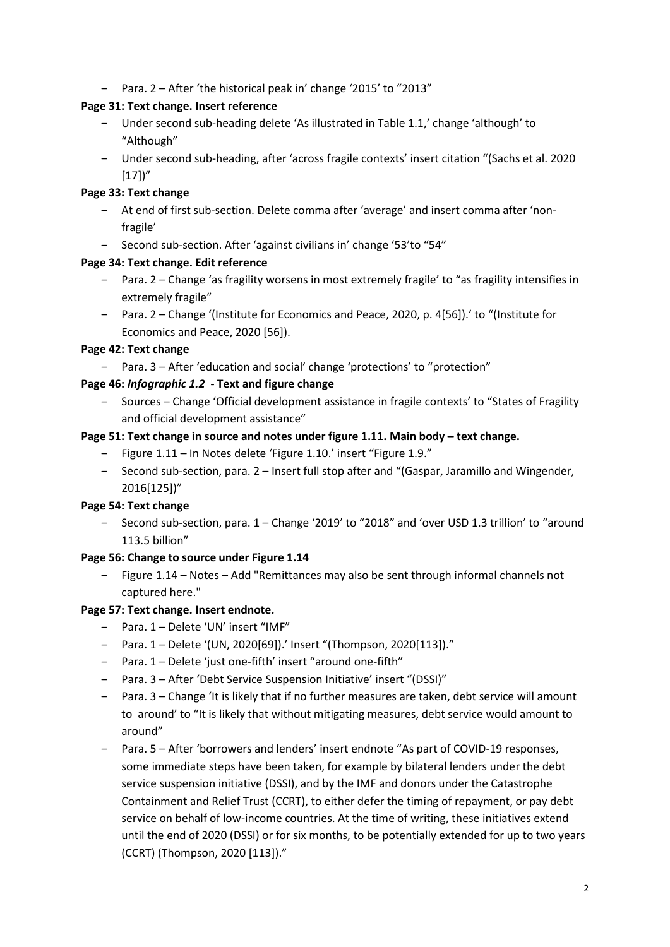‒ Para. 2 – After 'the historical peak in' change '2015' to "2013"

## **Page 31: Text change. Insert reference**

- ‒ Under second sub-heading delete 'As illustrated in Table 1.1,' change 'although' to "Although"
- ‒ Under second sub-heading, after 'across fragile contexts' insert citation "(Sachs et al. 2020  $[17]$ "

## **Page 33: Text change**

- ‒ At end of first sub-section. Delete comma after 'average' and insert comma after 'nonfragile'
- ‒ Second sub-section. After 'against civilians in' change '53'to "54"

## **Page 34: Text change. Edit reference**

- ‒ Para. 2 Change 'as fragility worsens in most extremely fragile' to "as fragility intensifies in extremely fragile"
- ‒ Para. 2 Change '(Institute for Economics and Peace, 2020, p. 4[56]).' to "(Institute for Economics and Peace, 2020 [56]).

## **Page 42: Text change**

‒ Para. 3 – After 'education and social' change 'protections' to "protection"

## **Page 46:** *Infographic 1.2* **- Text and figure change**

‒ Sources – Change 'Official development assistance in fragile contexts' to "States of Fragility and official development assistance"

## Page 51: Text change in source and notes under figure 1.11. Main body – text change.

- ‒ Figure 1.11 In Notes delete 'Figure 1.10.' insert "Figure 1.9."
- ‒ Second sub-section, para. 2 Insert full stop after and "(Gaspar, Jaramillo and Wingender, 2016[125])"

## **Page 54: Text change**

‒ Second sub-section, para. 1 – Change '2019' to "2018" and 'over USD 1.3 trillion' to "around 113.5 billion"

## **Page 56: Change to source under Figure 1.14**

‒ Figure 1.14 – Notes – Add "Remittances may also be sent through informal channels not captured here."

## **Page 57: Text change. Insert endnote.**

- ‒ Para. 1 Delete 'UN' insert "IMF"
- ‒ Para. 1 Delete '(UN, 2020[69]).' Insert "(Thompson, 2020[113])."
- ‒ Para. 1 Delete 'just one-fifth' insert "around one-fifth"
- ‒ Para. 3 After 'Debt Service Suspension Initiative' insert "(DSSI)"
- ‒ Para. 3 Change 'It is likely that if no further measures are taken, debt service will amount to around' to "It is likely that without mitigating measures, debt service would amount to around"
- ‒ Para. 5 After 'borrowers and lenders' insert endnote "As part of COVID-19 responses, some immediate steps have been taken, for example by bilateral lenders under the debt service suspension initiative (DSSI), and by the IMF and donors under the Catastrophe Containment and Relief Trust (CCRT), to either defer the timing of repayment, or pay debt service on behalf of low-income countries. At the time of writing, these initiatives extend until the end of 2020 (DSSI) or for six months, to be potentially extended for up to two years (CCRT) (Thompson, 2020 [113])."